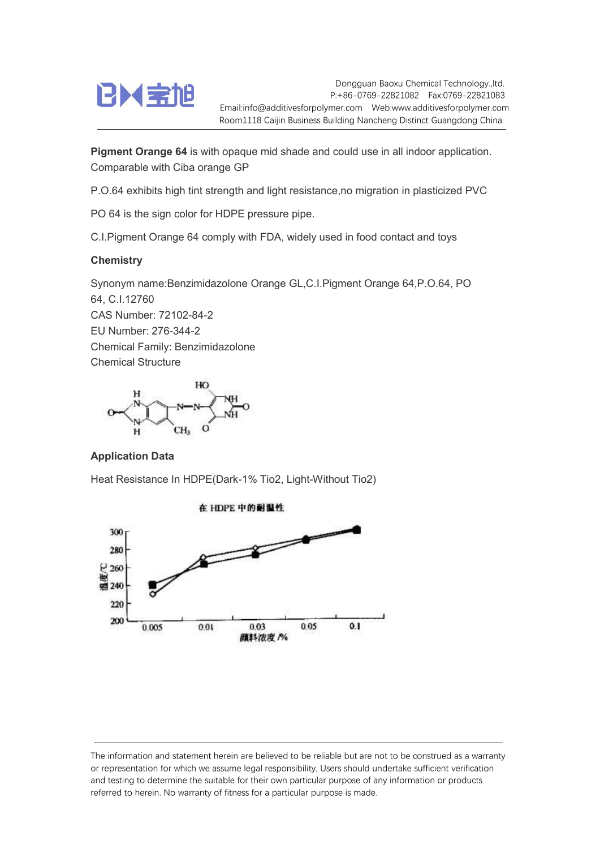

Dongguan Baoxu Chemical Technology.,ltd. P:+86-0769-22821082 Fax:0769-22821083 Email:info@additivesforpolymer.com Web:www.additivesforpolymer.com Room1118 Caijin Business Building Nancheng Distinct Guangdong China

Pigment Orange 64 is with opaque mid shade and could use in all indoor application. Comparable with Ciba orange GP

P.O.64 exhibits high tint strength and light resistance,no migration in plasticized PVC

PO 64 is the sign color for HDPE pressure pipe.

C.I.Pigment Orange 64 comply with FDA, widely used in food contact and toys

## **Chemistry**

Synonym name:Benzimidazolone Orange GL,C.I.Pigment Orange 64,P.O.64, PO 64, C.I.12760 CAS Number: 72102-84-2 EU Number: 276-344-2 Chemical Family: Benzimidazolone Chemical Structure



## Application Data

Heat Resistance In HDPE(Dark-1% Tio2, Light-Without Tio2)



The information and statement herein are believed to be reliable but are not to be construed as a warranty or representation for which we assume legal responsibility, Users should undertake sufficient verification and testing to determine the suitable for their own particular purpose of any information or products referred to herein. No warranty of fitness for a particular purpose is made.